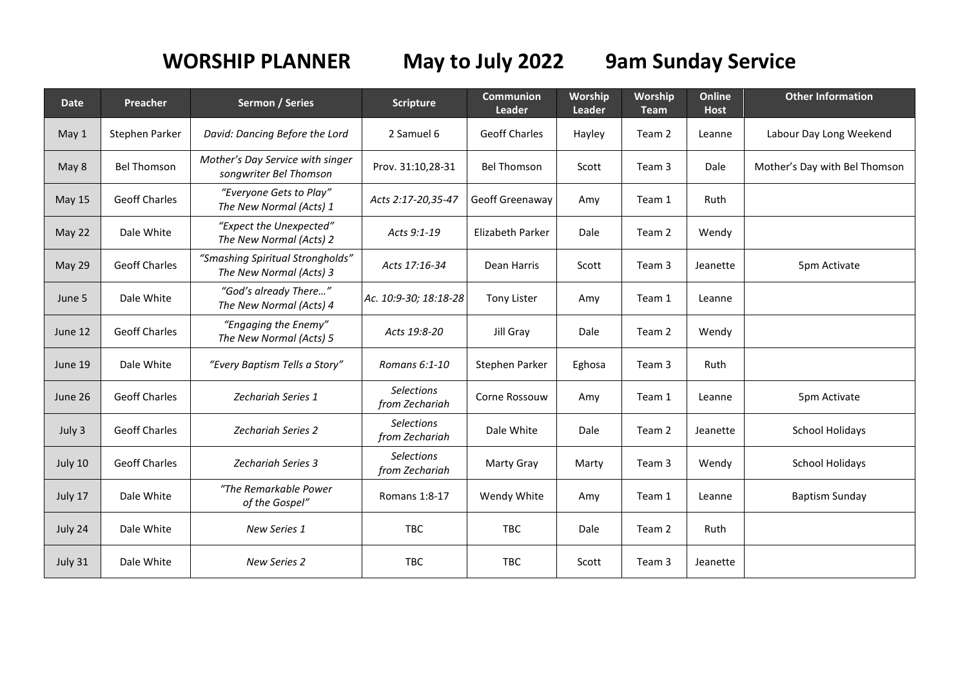## **WORSHIP PLANNER May to July 2022 9am Sunday Service**

| <b>Date</b>   | Preacher             | <b>Sermon / Series</b>                                      | <b>Scripture</b>                    | <b>Communion</b><br>Leader | Worship<br>Leader | Worship<br><b>Team</b> | Online<br><b>Host</b> | <b>Other Information</b>      |
|---------------|----------------------|-------------------------------------------------------------|-------------------------------------|----------------------------|-------------------|------------------------|-----------------------|-------------------------------|
| May 1         | Stephen Parker       | David: Dancing Before the Lord                              | 2 Samuel 6                          | <b>Geoff Charles</b>       | Hayley            | Team 2                 | Leanne                | Labour Day Long Weekend       |
| May 8         | <b>Bel Thomson</b>   | Mother's Day Service with singer<br>songwriter Bel Thomson  | Prov. 31:10,28-31                   | <b>Bel Thomson</b>         | Scott             | Team 3                 | Dale                  | Mother's Day with Bel Thomson |
| <b>May 15</b> | <b>Geoff Charles</b> | "Everyone Gets to Play"<br>The New Normal (Acts) 1          | Acts 2:17-20,35-47                  | Geoff Greenaway            | Amy               | Team 1                 | Ruth                  |                               |
| May 22        | Dale White           | "Expect the Unexpected"<br>The New Normal (Acts) 2          | Acts 9:1-19                         | <b>Elizabeth Parker</b>    | Dale              | Team 2                 | Wendy                 |                               |
| May 29        | <b>Geoff Charles</b> | "Smashing Spiritual Strongholds"<br>The New Normal (Acts) 3 | Acts 17:16-34                       | Dean Harris                | Scott             | Team 3                 | Jeanette              | 5pm Activate                  |
| June 5        | Dale White           | "God's already There"<br>The New Normal (Acts) 4            | Ac. 10:9-30; 18:18-28               | <b>Tony Lister</b>         | Amy               | Team 1                 | Leanne                |                               |
| June 12       | <b>Geoff Charles</b> | "Engaging the Enemy"<br>The New Normal (Acts) 5             | Acts 19:8-20                        | Jill Gray                  | Dale              | Team 2                 | Wendy                 |                               |
| June 19       | Dale White           | "Every Baptism Tells a Story"                               | Romans 6:1-10                       | Stephen Parker             | Eghosa            | Team 3                 | Ruth                  |                               |
| June 26       | <b>Geoff Charles</b> | <b>Zechariah Series 1</b>                                   | <b>Selections</b><br>from Zechariah | Corne Rossouw              | Amy               | Team 1                 | Leanne                | 5pm Activate                  |
| July 3        | <b>Geoff Charles</b> | <b>Zechariah Series 2</b>                                   | <b>Selections</b><br>from Zechariah | Dale White                 | Dale              | Team 2                 | Jeanette              | <b>School Holidays</b>        |
| July 10       | <b>Geoff Charles</b> | <b>Zechariah Series 3</b>                                   | <b>Selections</b><br>from Zechariah | <b>Marty Gray</b>          | Marty             | Team 3                 | Wendy                 | <b>School Holidays</b>        |
| July 17       | Dale White           | "The Remarkable Power<br>of the Gospel"                     | Romans 1:8-17                       | Wendy White                | Amy               | Team 1                 | Leanne                | <b>Baptism Sunday</b>         |
| July 24       | Dale White           | New Series 1                                                | <b>TBC</b>                          | TBC                        | Dale              | Team 2                 | Ruth                  |                               |
| July 31       | Dale White           | New Series 2                                                | <b>TBC</b>                          | <b>TBC</b>                 | Scott             | Team 3                 | Jeanette              |                               |